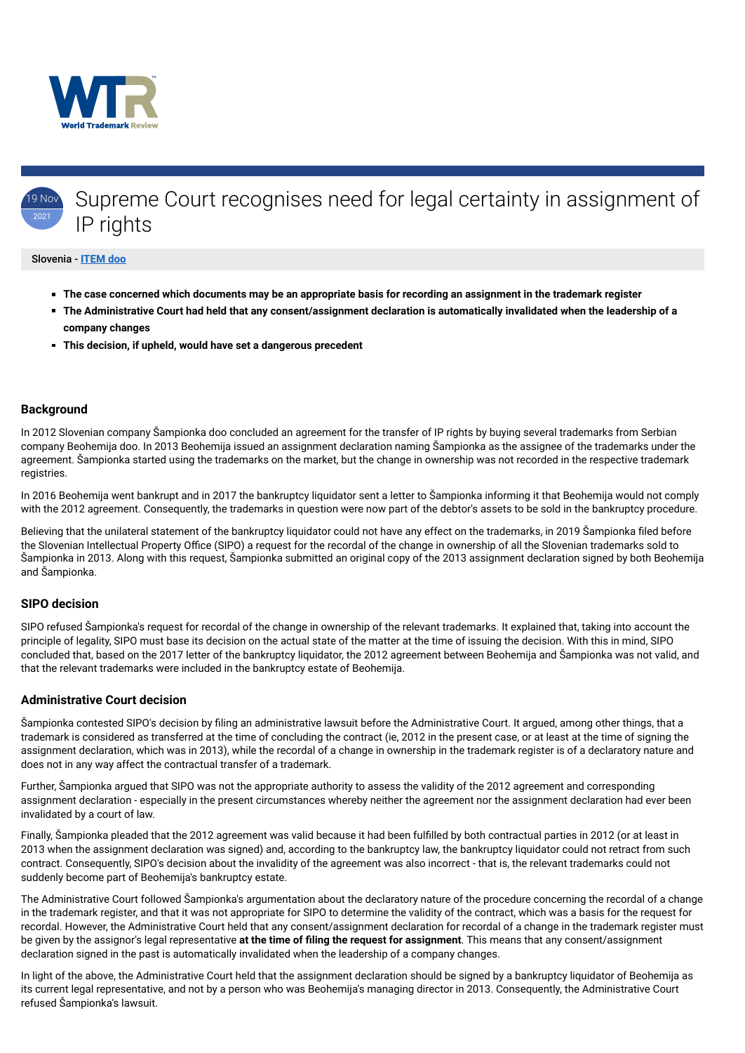

#### 19 Nov  $2021$ Supreme Court recognises need for legal certainty in assignment of IP rights

#### Slovenia - **[ITEM doo](https://www.worldtrademarkreview.com/Daily/Contributors#Slovenia)**

- **The case concerned which documents may be an appropriate basis for recording an assignment in the trademark register**
- **The Administrative Court had held that any consent/assignment declaration is automatically invalidated when the leadership of a company changes**
- **This decision, if upheld, would have set a dangerous precedent**

## **Background**

In 2012 Slovenian company Šampionka doo concluded an agreement for the transfer of IP rights by buying several trademarks from Serbian company Beohemija doo. In 2013 Beohemija issued an assignment declaration naming Šampionka as the assignee of the trademarks under the agreement. Šampionka started using the trademarks on the market, but the change in ownership was not recorded in the respective trademark registries.

In 2016 Beohemija went bankrupt and in 2017 the bankruptcy liquidator sent a letter to Šampionka informing it that Beohemija would not comply with the 2012 agreement. Consequently, the trademarks in question were now part of the debtor's assets to be sold in the bankruptcy procedure.

Believing that the unilateral statement of the bankruptcy liquidator could not have any effect on the trademarks, in 2019 Šampionka filed before the Slovenian Intellectual Property Office (SIPO) a request for the recordal of the change in ownership of all the Slovenian trademarks sold to Šampionka in 2013. Along with this request, Šampionka submitted an original copy of the 2013 assignment declaration signed by both Beohemija and Šampionka.

### **SIPO decision**

SIPO refused Šampionka's request for recordal of the change in ownership of the relevant trademarks. It explained that, taking into account the principle of legality, SIPO must base its decision on the actual state of the matter at the time of issuing the decision. With this in mind, SIPO concluded that, based on the 2017 letter of the bankruptcy liquidator, the 2012 agreement between Beohemija and Šampionka was not valid, and that the relevant trademarks were included in the bankruptcy estate of Beohemija.

## **Administrative Court decision**

Šampionka contested SIPO's decision by filing an administrative lawsuit before the Administrative Court. It argued, among other things, that a trademark is considered as transferred at the time of concluding the contract (ie, 2012 in the present case, or at least at the time of signing the assignment declaration, which was in 2013), while the recordal of a change in ownership in the trademark register is of a declaratory nature and does not in any way affect the contractual transfer of a trademark.

Further, Šampionka argued that SIPO was not the appropriate authority to assess the validity of the 2012 agreement and corresponding

assignment declaration - especially in the present circumstances whereby neither the agreement nor the assignment declaration had ever been invalidated by a court of law.

Finally, Šampionka pleaded that the 2012 agreement was valid because it had been fulfilled by both contractual parties in 2012 (or at least in 2013 when the assignment declaration was signed) and, according to the bankruptcy law, the bankruptcy liquidator could not retract from such contract. Consequently, SIPO's decision about the invalidity of the agreement was also incorrect - that is, the relevant trademarks could not suddenly become part of Beohemija's bankruptcy estate.

The Administrative Court followed Šampionka's argumentation about the declaratory nature of the procedure concerning the recordal of a change in the trademark register, and that it was not appropriate for SIPO to determine the validity of the contract, which was a basis for the request for recordal. However, the Administrative Court held that any consent/assignment declaration for recordal of a change in the trademark register must be given by the assignor's legal representative **at the time of filing the request for assignment**. This means that any consent/assignment declaration signed in the past is automatically invalidated when the leadership of a company changes.

In light of the above, the Administrative Court held that the assignment declaration should be signed by a bankruptcy liquidator of Beohemija as its current legal representative, and not by a person who was Beohemija's managing director in 2013. Consequently, the Administrative Court refused Šampionka's lawsuit.